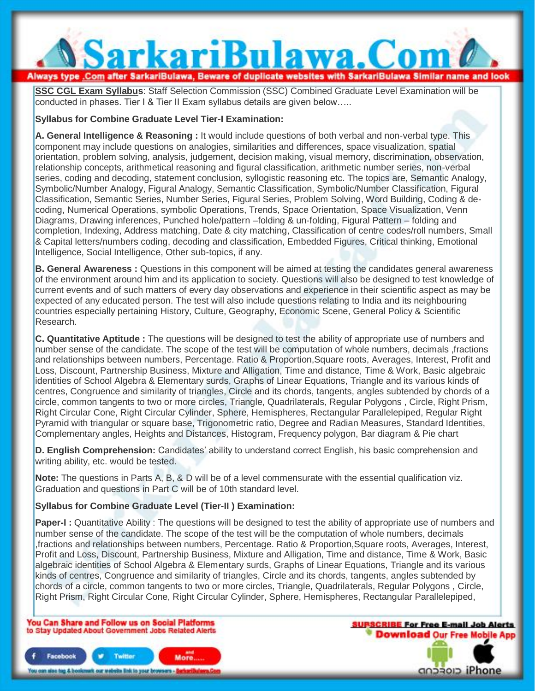# SarkariBulawa.Com Always type .Com after SarkariBulawa, Beware of duplicate websites with SarkariBulawa Similar name and look

**SSC CGL Exam Syllabus**: Staff Selection Commission (SSC) Combined Graduate Level Examination will be conducted in phases. Tier I & Tier II Exam syllabus details are given below…..

# **Syllabus for Combine Graduate Level Tier-I Examination:**

**A. General Intelligence & Reasoning :** It would include questions of both verbal and non-verbal type. This component may include questions on analogies, similarities and differences, space visualization, spatial orientation, problem solving, analysis, judgement, decision making, visual memory, discrimination, observation, relationship concepts, arithmetical reasoning and figural classification, arithmetic number series, non-verbal series, coding and decoding, statement conclusion, syllogistic reasoning etc. The topics are, Semantic Analogy, Symbolic/Number Analogy, Figural Analogy, Semantic Classification, Symbolic/Number Classification, Figural Classification, Semantic Series, Number Series, Figural Series, Problem Solving, Word Building, Coding & decoding, Numerical Operations, symbolic Operations, Trends, Space Orientation, Space Visualization, Venn Diagrams, Drawing inferences, Punched hole/pattern –folding & un-folding, Figural Pattern – folding and completion, Indexing, Address matching, Date & city matching, Classification of centre codes/roll numbers, Small & Capital letters/numbers coding, decoding and classification, Embedded Figures, Critical thinking, Emotional Intelligence, Social Intelligence, Other sub-topics, if any.

**B. General Awareness :** Questions in this component will be aimed at testing the candidates general awareness of the environment around him and its application to society. Questions will also be designed to test knowledge of current events and of such matters of every day observations and experience in their scientific aspect as may be expected of any educated person. The test will also include questions relating to India and its neighbouring countries especially pertaining History, Culture, Geography, Economic Scene, General Policy & Scientific Research.

**C. Quantitative Aptitude :** The questions will be designed to test the ability of appropriate use of numbers and number sense of the candidate. The scope of the test will be computation of whole numbers, decimals ,fractions and relationships between numbers, Percentage. Ratio & Proportion,Square roots, Averages, Interest, Profit and Loss, Discount, Partnership Business, Mixture and Alligation, Time and distance, Time & Work, Basic algebraic identities of School Algebra & Elementary surds, Graphs of Linear Equations, Triangle and its various kinds of centres, Congruence and similarity of triangles, Circle and its chords, tangents, angles subtended by chords of a circle, common tangents to two or more circles, Triangle, Quadrilaterals, Regular Polygons , Circle, Right Prism, Right Circular Cone, Right Circular Cylinder, Sphere, Hemispheres, Rectangular Parallelepiped, Regular Right Pyramid with triangular or square base, Trigonometric ratio, Degree and Radian Measures, Standard Identities, Complementary angles, Heights and Distances, Histogram, Frequency polygon, Bar diagram & Pie chart

**D. English Comprehension:** Candidates' ability to understand correct English, his basic comprehension and writing ability, etc. would be tested.

**Note:** The questions in Parts A, B, & D will be of a level commensurate with the essential qualification viz. Graduation and questions in Part C will be of 10th standard level.

# **Syllabus for Combine Graduate Level (Tier-II ) Examination:**

**Paper-I**: Quantitative Ability: The questions will be designed to test the ability of appropriate use of numbers and number sense of the candidate. The scope of the test will be the computation of whole numbers, decimals ,fractions and relationships between numbers, Percentage. Ratio & Proportion,Square roots, Averages, Interest, Profit and Loss, Discount, Partnership Business, Mixture and Alligation, Time and distance, Time & Work, Basic algebraic identities of School Algebra & Elementary surds, Graphs of Linear Equations, Triangle and its various kinds of centres, Congruence and similarity of triangles, Circle and its chords, tangents, angles subtended by chords of a circle, common tangents to two or more circles, Triangle, Quadrilaterals, Regular Polygons , Circle, Right Prism, Right Circular Cone, Right Circular Cylinder, Sphere, Hemispheres, Rectangular Parallelepiped,

You Can Share and Follow us on Social Platforms to Stay Updated About Government Jobs Related Alerts



**SURSCRIBE For Free E-mail Job Alerts Download Our Free Mobile App** anasan iPhone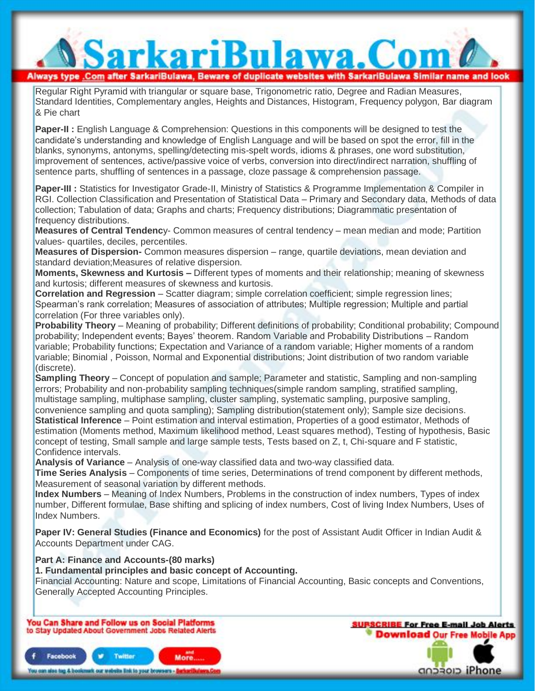Regular Right Pyramid with triangular or square base, Trigonometric ratio, Degree and Radian Measures, Standard Identities, Complementary angles, Heights and Distances, Histogram, Frequency polygon, Bar diagram & Pie chart

SarkariBulawa.Com

Always type .Com after SarkariBulawa, Beware of duplicate websites with SarkariBulawa Similar name and look

**Paper-II :** English Language & Comprehension: Questions in this components will be designed to test the candidate's understanding and knowledge of English Language and will be based on spot the error, fill in the blanks, synonyms, antonyms, spelling/detecting mis-spelt words, idioms & phrases, one word substitution, improvement of sentences, active/passive voice of verbs, conversion into direct/indirect narration, shuffling of sentence parts, shuffling of sentences in a passage, cloze passage & comprehension passage.

**Paper-III :** Statistics for Investigator Grade-II, Ministry of Statistics & Programme Implementation & Compiler in RGI. Collection Classification and Presentation of Statistical Data – Primary and Secondary data, Methods of data collection; Tabulation of data; Graphs and charts; Frequency distributions; Diagrammatic presentation of frequency distributions.

**Measures of Central Tendenc**y- Common measures of central tendency – mean median and mode; Partition values- quartiles, deciles, percentiles.

**Measures of Dispersion-** Common measures dispersion – range, quartile deviations, mean deviation and standard deviation;Measures of relative dispersion.

**Moments, Skewness and Kurtosis –** Different types of moments and their relationship; meaning of skewness and kurtosis; different measures of skewness and kurtosis.

**Correlation and Regression** – Scatter diagram; simple correlation coefficient; simple regression lines; Spearman's rank correlation; Measures of association of attributes; Multiple regression; Multiple and partial correlation (For three variables only).

**Probability Theory** – Meaning of probability; Different definitions of probability; Conditional probability; Compound probability; Independent events; Bayes' theorem. Random Variable and Probability Distributions – Random variable; Probability functions; Expectation and Variance of a random variable; Higher moments of a random variable; Binomial , Poisson, Normal and Exponential distributions; Joint distribution of two random variable (discrete).

**Sampling Theory** – Concept of population and sample; Parameter and statistic, Sampling and non-sampling errors; Probability and non-probability sampling techniques(simple random sampling, stratified sampling, multistage sampling, multiphase sampling, cluster sampling, systematic sampling, purposive sampling, convenience sampling and quota sampling); Sampling distribution(statement only); Sample size decisions. **Statistical Inference** – Point estimation and interval estimation, Properties of a good estimator, Methods of estimation (Moments method, Maximum likelihood method, Least squares method), Testing of hypothesis, Basic concept of testing, Small sample and large sample tests, Tests based on Z, t, Chi-square and F statistic, Confidence intervals.

**Analysis of Variance** – Analysis of one-way classified data and two-way classified data.

**Time Series Analysis** – Components of time series, Determinations of trend component by different methods, Measurement of seasonal variation by different methods.

**Index Numbers** – Meaning of Index Numbers, Problems in the construction of index numbers, Types of index number, Different formulae, Base shifting and splicing of index numbers, Cost of living Index Numbers, Uses of Index Numbers.

**Paper IV: General Studies (Finance and Economics)** for the post of Assistant Audit Officer in Indian Audit & Accounts Department under CAG.

**Part A: Finance and Accounts-(80 marks)**

**1. Fundamental principles and basic concept of Accounting.**

Financial Accounting: Nature and scope, Limitations of Financial Accounting, Basic concepts and Conventions, Generally Accepted Accounting Principles.

You Can Share and Follow us on Social Platforms to Stay Updated About Government Jobs Related Alerts